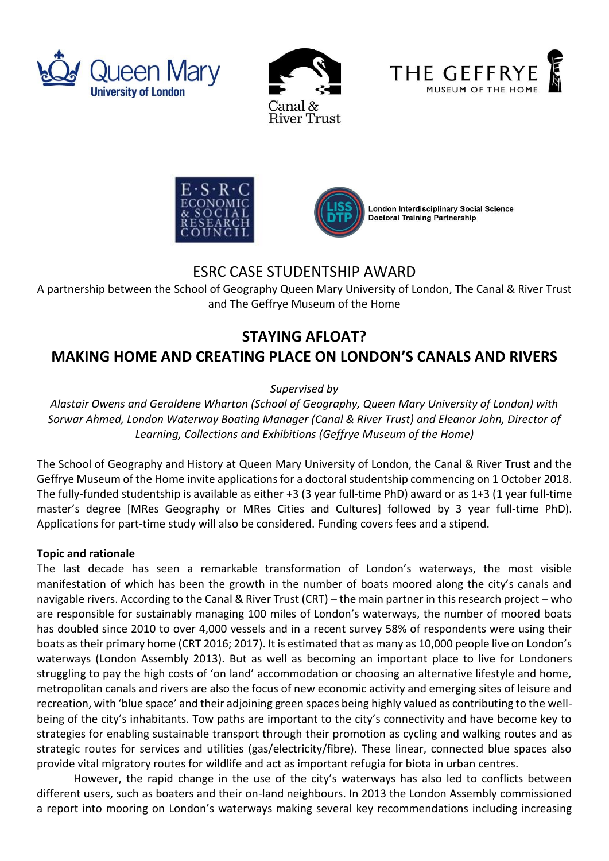







# ESRC CASE STUDENTSHIP AWARD

A partnership between the School of Geography Queen Mary University of London, The Canal & River Trust and The Geffrye Museum of the Home

# **STAYING AFLOAT?**

# **MAKING HOME AND CREATING PLACE ON LONDON'S CANALS AND RIVERS**

*Supervised by*

*Alastair Owens and Geraldene Wharton (School of Geography, Queen Mary University of London) with Sorwar Ahmed, London Waterway Boating Manager (Canal & River Trust) and Eleanor John, Director of Learning, Collections and Exhibitions (Geffrye Museum of the Home)*

The School of Geography and History at Queen Mary University of London, the Canal & River Trust and the Geffrye Museum of the Home invite applications for a doctoral studentship commencing on 1 October 2018. The fully-funded studentship is available as either +3 (3 year full-time PhD) award or as 1+3 (1 year full-time master's degree [MRes Geography or MRes Cities and Cultures] followed by 3 year full-time PhD). Applications for part-time study will also be considered. Funding covers fees and a stipend.

### **Topic and rationale**

The last decade has seen a remarkable transformation of London's waterways, the most visible manifestation of which has been the growth in the number of boats moored along the city's canals and navigable rivers. According to the Canal & River Trust (CRT) – the main partner in this research project – who are responsible for sustainably managing 100 miles of London's waterways, the number of moored boats has doubled since 2010 to over 4,000 vessels and in a recent survey 58% of respondents were using their boats as their primary home (CRT 2016; 2017). It is estimated that as many as 10,000 people live on London's waterways (London Assembly 2013). But as well as becoming an important place to live for Londoners struggling to pay the high costs of 'on land' accommodation or choosing an alternative lifestyle and home, metropolitan canals and rivers are also the focus of new economic activity and emerging sites of leisure and recreation, with 'blue space' and their adjoining green spaces being highly valued as contributing to the wellbeing of the city's inhabitants. Tow paths are important to the city's connectivity and have become key to strategies for enabling sustainable transport through their promotion as cycling and walking routes and as strategic routes for services and utilities (gas/electricity/fibre). These linear, connected blue spaces also provide vital migratory routes for wildlife and act as important refugia for biota in urban centres.

However, the rapid change in the use of the city's waterways has also led to conflicts between different users, such as boaters and their on-land neighbours. In 2013 the London Assembly commissioned a report into mooring on London's waterways making several key recommendations including increasing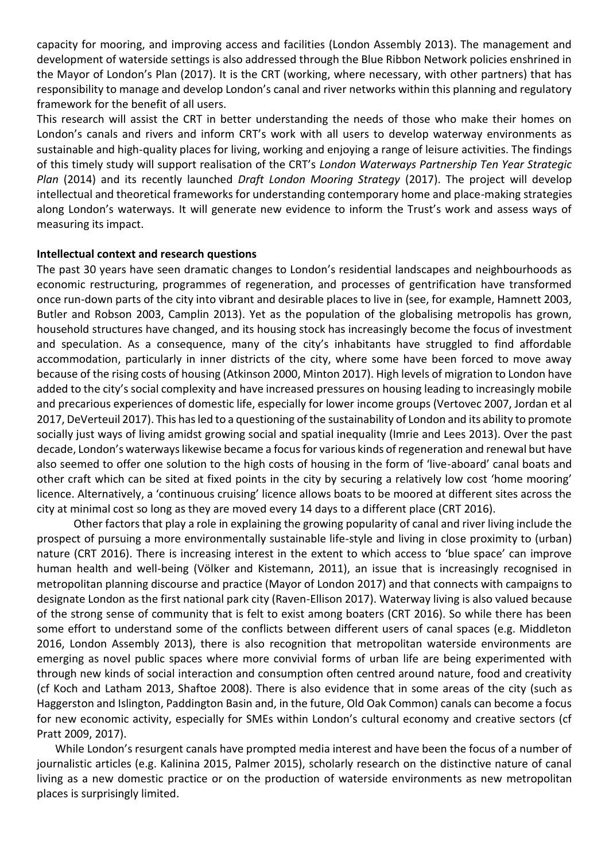capacity for mooring, and improving access and facilities (London Assembly 2013). The management and development of waterside settings is also addressed through the Blue Ribbon Network policies enshrined in the Mayor of London's Plan (2017). It is the CRT (working, where necessary, with other partners) that has responsibility to manage and develop London's canal and river networks within this planning and regulatory framework for the benefit of all users.

This research will assist the CRT in better understanding the needs of those who make their homes on London's canals and rivers and inform CRT's work with all users to develop waterway environments as sustainable and high-quality places for living, working and enjoying a range of leisure activities. The findings of this timely study will support realisation of the CRT's *London Waterways Partnership Ten Year Strategic Plan* (2014) and its recently launched *Draft London Mooring Strategy* (2017). The project will develop intellectual and theoretical frameworks for understanding contemporary home and place-making strategies along London's waterways. It will generate new evidence to inform the Trust's work and assess ways of measuring its impact.

#### **Intellectual context and research questions**

The past 30 years have seen dramatic changes to London's residential landscapes and neighbourhoods as economic restructuring, programmes of regeneration, and processes of gentrification have transformed once run-down parts of the city into vibrant and desirable places to live in (see, for example, Hamnett 2003, Butler and Robson 2003, Camplin 2013). Yet as the population of the globalising metropolis has grown, household structures have changed, and its housing stock has increasingly become the focus of investment and speculation. As a consequence, many of the city's inhabitants have struggled to find affordable accommodation, particularly in inner districts of the city, where some have been forced to move away because of the rising costs of housing (Atkinson 2000, Minton 2017). High levels of migration to London have added to the city's social complexity and have increased pressures on housing leading to increasingly mobile and precarious experiences of domestic life, especially for lower income groups (Vertovec 2007, Jordan et al 2017, DeVerteuil 2017). This has led to a questioning of the sustainability of London and its ability to promote socially just ways of living amidst growing social and spatial inequality (Imrie and Lees 2013). Over the past decade, London's waterways likewise became a focus for various kinds of regeneration and renewal but have also seemed to offer one solution to the high costs of housing in the form of 'live-aboard' canal boats and other craft which can be sited at fixed points in the city by securing a relatively low cost 'home mooring' licence. Alternatively, a 'continuous cruising' licence allows boats to be moored at different sites across the city at minimal cost so long as they are moved every 14 days to a different place (CRT 2016).

Other factors that play a role in explaining the growing popularity of canal and river living include the prospect of pursuing a more environmentally sustainable life-style and living in close proximity to (urban) nature (CRT 2016). There is increasing interest in the extent to which access to 'blue space' can improve human health and well-being (Völker and Kistemann, 2011), an issue that is increasingly recognised in metropolitan planning discourse and practice (Mayor of London 2017) and that connects with campaigns to designate London as the first national park city (Raven-Ellison 2017). Waterway living is also valued because of the strong sense of community that is felt to exist among boaters (CRT 2016). So while there has been some effort to understand some of the conflicts between different users of canal spaces (e.g. Middleton 2016, London Assembly 2013), there is also recognition that metropolitan waterside environments are emerging as novel public spaces where more convivial forms of urban life are being experimented with through new kinds of social interaction and consumption often centred around nature, food and creativity (cf Koch and Latham 2013, Shaftoe 2008). There is also evidence that in some areas of the city (such as Haggerston and Islington, Paddington Basin and, in the future, Old Oak Common) canals can become a focus for new economic activity, especially for SMEs within London's cultural economy and creative sectors (cf Pratt 2009, 2017).

While London's resurgent canals have prompted media interest and have been the focus of a number of journalistic articles (e.g. Kalinina 2015, Palmer 2015), scholarly research on the distinctive nature of canal living as a new domestic practice or on the production of waterside environments as new metropolitan places is surprisingly limited.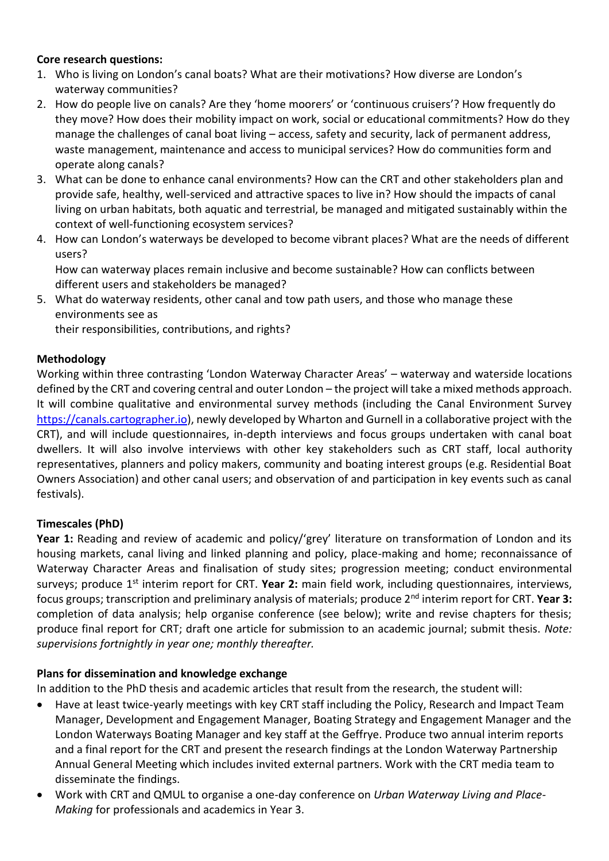## **Core research questions:**

- 1. Who is living on London's canal boats? What are their motivations? How diverse are London's waterway communities?
- 2. How do people live on canals? Are they 'home moorers' or 'continuous cruisers'? How frequently do they move? How does their mobility impact on work, social or educational commitments? How do they manage the challenges of canal boat living – access, safety and security, lack of permanent address, waste management, maintenance and access to municipal services? How do communities form and operate along canals?
- 3. What can be done to enhance canal environments? How can the CRT and other stakeholders plan and provide safe, healthy, well-serviced and attractive spaces to live in? How should the impacts of canal living on urban habitats, both aquatic and terrestrial, be managed and mitigated sustainably within the context of well-functioning ecosystem services?
- 4. How can London's waterways be developed to become vibrant places? What are the needs of different users?

How can waterway places remain inclusive and become sustainable? How can conflicts between different users and stakeholders be managed?

5. What do waterway residents, other canal and tow path users, and those who manage these environments see as

their responsibilities, contributions, and rights?

### **Methodology**

Working within three contrasting 'London Waterway Character Areas' – waterway and waterside locations defined by the CRT and covering central and outer London – the project will take a mixed methods approach. It will combine qualitative and environmental survey methods (including the Canal Environment Survey [https://canals.cartographer.io\)](https://canals.cartographer.io/), newly developed by Wharton and Gurnell in a collaborative project with the CRT), and will include questionnaires, in-depth interviews and focus groups undertaken with canal boat dwellers. It will also involve interviews with other key stakeholders such as CRT staff, local authority representatives, planners and policy makers, community and boating interest groups (e.g. Residential Boat Owners Association) and other canal users; and observation of and participation in key events such as canal festivals).

### **Timescales (PhD)**

**Year 1:** Reading and review of academic and policy/'grey' literature on transformation of London and its housing markets, canal living and linked planning and policy, place-making and home; reconnaissance of Waterway Character Areas and finalisation of study sites; progression meeting; conduct environmental surveys; produce 1st interim report for CRT. **Year 2:** main field work, including questionnaires, interviews, focus groups; transcription and preliminary analysis of materials; produce 2nd interim report for CRT. **Year 3:** completion of data analysis; help organise conference (see below); write and revise chapters for thesis; produce final report for CRT; draft one article for submission to an academic journal; submit thesis. *Note: supervisions fortnightly in year one; monthly thereafter.*

### **Plans for dissemination and knowledge exchange**

In addition to the PhD thesis and academic articles that result from the research, the student will:

- Have at least twice-yearly meetings with key CRT staff including the Policy, Research and Impact Team Manager, Development and Engagement Manager, Boating Strategy and Engagement Manager and the London Waterways Boating Manager and key staff at the Geffrye. Produce two annual interim reports and a final report for the CRT and present the research findings at the London Waterway Partnership Annual General Meeting which includes invited external partners. Work with the CRT media team to disseminate the findings.
- Work with CRT and QMUL to organise a one-day conference on *Urban Waterway Living and Place-Making* for professionals and academics in Year 3.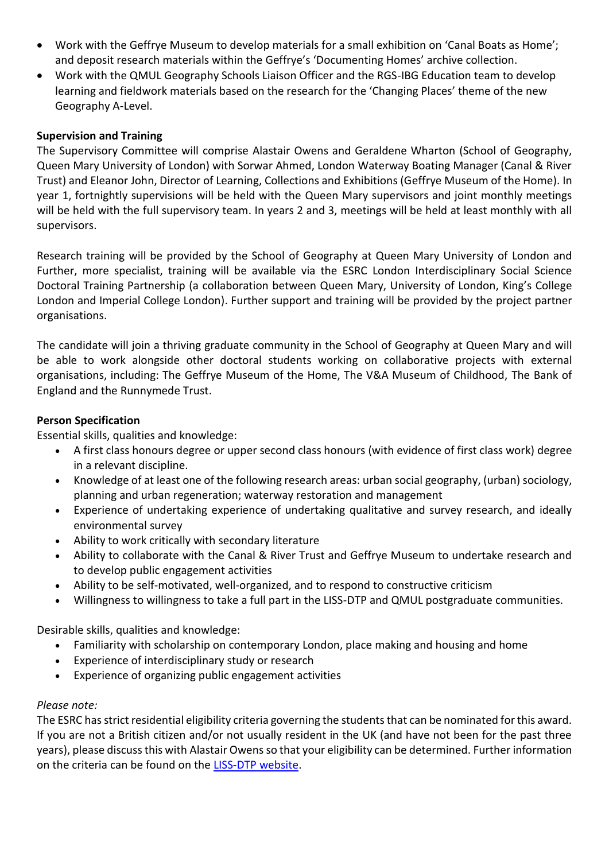- Work with the Geffrye Museum to develop materials for a small exhibition on 'Canal Boats as Home'; and deposit research materials within the Geffrye's 'Documenting Homes' archive collection.
- Work with the QMUL Geography Schools Liaison Officer and the RGS-IBG Education team to develop learning and fieldwork materials based on the research for the 'Changing Places' theme of the new Geography A-Level.

## **Supervision and Training**

The Supervisory Committee will comprise Alastair Owens and Geraldene Wharton (School of Geography, Queen Mary University of London) with Sorwar Ahmed, London Waterway Boating Manager (Canal & River Trust) and Eleanor John, Director of Learning, Collections and Exhibitions (Geffrye Museum of the Home). In year 1, fortnightly supervisions will be held with the Queen Mary supervisors and joint monthly meetings will be held with the full supervisory team. In years 2 and 3, meetings will be held at least monthly with all supervisors.

Research training will be provided by the School of Geography at Queen Mary University of London and Further, more specialist, training will be available via the ESRC London Interdisciplinary Social Science Doctoral Training Partnership (a collaboration between Queen Mary, University of London, King's College London and Imperial College London). Further support and training will be provided by the project partner organisations.

The candidate will join a thriving graduate community in the School of Geography at Queen Mary and will be able to work alongside other doctoral students working on collaborative projects with external organisations, including: The Geffrye Museum of the Home, The V&A Museum of Childhood, The Bank of England and the Runnymede Trust.

### **Person Specification**

Essential skills, qualities and knowledge:

- A first class honours degree or upper second class honours (with evidence of first class work) degree in a relevant discipline.
- Knowledge of at least one of the following research areas: urban social geography, (urban) sociology, planning and urban regeneration; waterway restoration and management
- Experience of undertaking experience of undertaking qualitative and survey research, and ideally environmental survey
- Ability to work critically with secondary literature
- Ability to collaborate with the Canal & River Trust and Geffrye Museum to undertake research and to develop public engagement activities
- Ability to be self-motivated, well-organized, and to respond to constructive criticism
- Willingness to willingness to take a full part in the LISS-DTP and QMUL postgraduate communities.

Desirable skills, qualities and knowledge:

- Familiarity with scholarship on contemporary London, place making and housing and home
- Experience of interdisciplinary study or research
- Experience of organizing public engagement activities

### *Please note:*

The ESRC has strict residential eligibility criteria governing the students that can be nominated for this award. If you are not a British citizen and/or not usually resident in the UK (and have not been for the past three years), please discuss this with Alastair Owens so that your eligibility can be determined. Further information on the criteria can be found on th[e LISS-DTP website.](https://liss-dtp.ac.uk/studentships/)